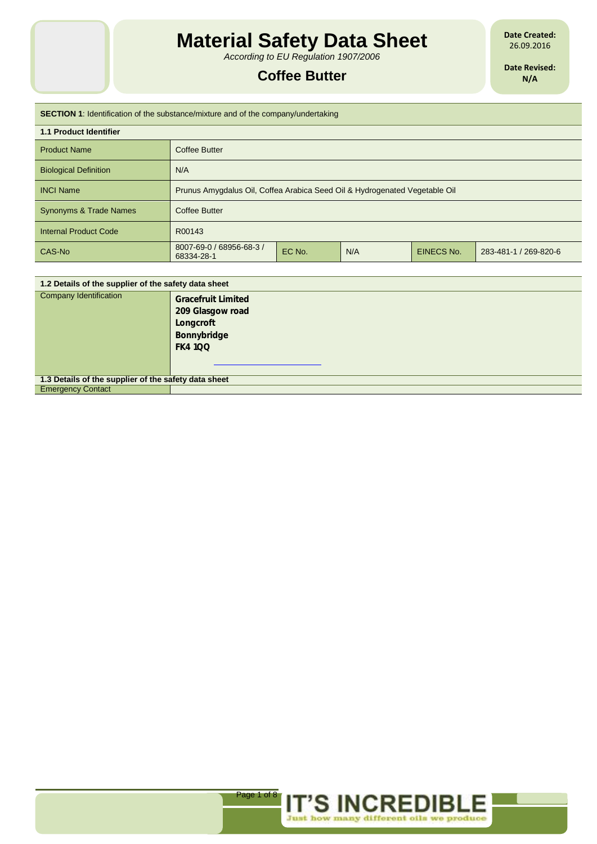*According to EU Regulation 1907/2006*

# **Coffee Butter**

**Date Created:** 26.09.2016

**Date Revised: N/A**

# **SECTION 1**: Identification of the substance/mixture and of the company/undertaking

| <b>1.1 Product Identifier</b> |                                                                            |        |     |            |                       |
|-------------------------------|----------------------------------------------------------------------------|--------|-----|------------|-----------------------|
| <b>Product Name</b>           | Coffee Butter                                                              |        |     |            |                       |
| <b>Biological Definition</b>  | N/A                                                                        |        |     |            |                       |
| <b>INCI Name</b>              | Prunus Amygdalus Oil, Coffea Arabica Seed Oil & Hydrogenated Vegetable Oil |        |     |            |                       |
| Synonyms & Trade Names        | <b>Coffee Butter</b>                                                       |        |     |            |                       |
| <b>Internal Product Code</b>  | R00143                                                                     |        |     |            |                       |
| CAS-No                        | 8007-69-0 / 68956-68-3 /<br>68334-28-1                                     | EC No. | N/A | EINECS No. | 283-481-1 / 269-820-6 |
|                               |                                                                            |        |     |            |                       |

| 1.2 Details of the supplier of the safety data sheet |                                                                                            |  |
|------------------------------------------------------|--------------------------------------------------------------------------------------------|--|
| Company Identification                               | <b>Gracefruit Limited</b><br>209 Glasgow road<br>Longcroft<br>Bonnybridge<br><b>FK4100</b> |  |
| 1.3 Details of the supplier of the safety data sheet |                                                                                            |  |
| <b>Emergency Contact</b>                             |                                                                                            |  |

Page 1 of 8

**IT'S INCREDIBL** 

Just how many different oils we produce

Е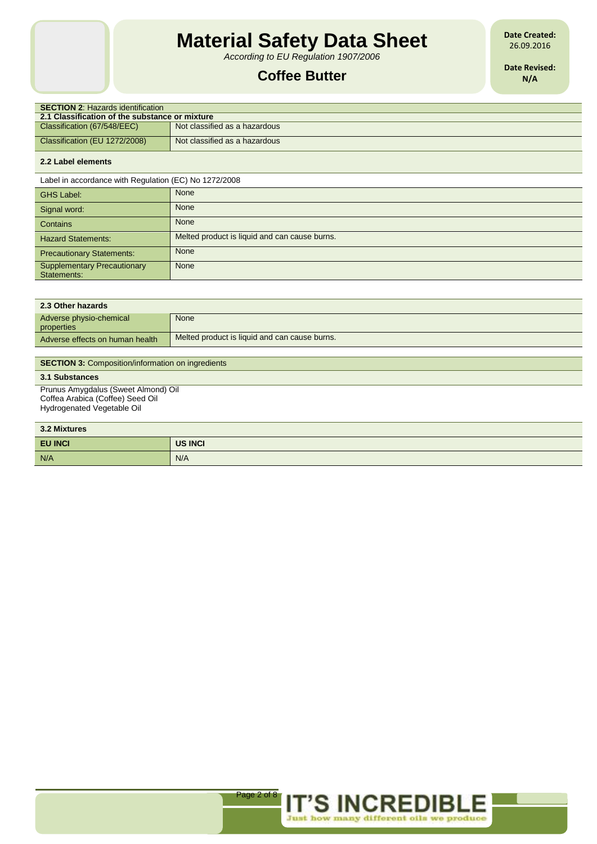*According to EU Regulation 1907/2006*

# **Coffee Butter**

**Date Created:** 26.09.2016

**Date Revised: N/A**

| <b>SECTION 2: Hazards identification</b>       |                               |  |  |
|------------------------------------------------|-------------------------------|--|--|
| 2.1 Classification of the substance or mixture |                               |  |  |
| Classification (67/548/EEC)                    | Not classified as a hazardous |  |  |
| Classification (EU 1272/2008)                  | Not classified as a hazardous |  |  |
|                                                |                               |  |  |

### **2.2 Label elements**

Label in accordance with Regulation (EC) No 1272/2008

| <b>GHS Label:</b>                                 | None                                          |
|---------------------------------------------------|-----------------------------------------------|
| Signal word:                                      | None                                          |
| Contains                                          | None                                          |
| <b>Hazard Statements:</b>                         | Melted product is liquid and can cause burns. |
| <b>Precautionary Statements:</b>                  | None                                          |
| <b>Supplementary Precautionary</b><br>Statements: | None                                          |

| 2.3 Other hazards                                        |                                               |  |
|----------------------------------------------------------|-----------------------------------------------|--|
| Adverse physio-chemical<br>properties                    | None                                          |  |
| Adverse effects on human health                          | Melted product is liquid and can cause burns. |  |
|                                                          |                                               |  |
| <b>SECTION 3: Composition/information on ingredients</b> |                                               |  |
|                                                          |                                               |  |

## **3.1 Substances**

Prunus Amygdalus (Sweet Almond) Oil Coffea Arabica (Coffee) Seed Oil Hydrogenated Vegetable Oil

| 3.2 Mixtures   |         |  |
|----------------|---------|--|
| <b>EU INCI</b> | US INCI |  |
| N/A            | N/A     |  |



E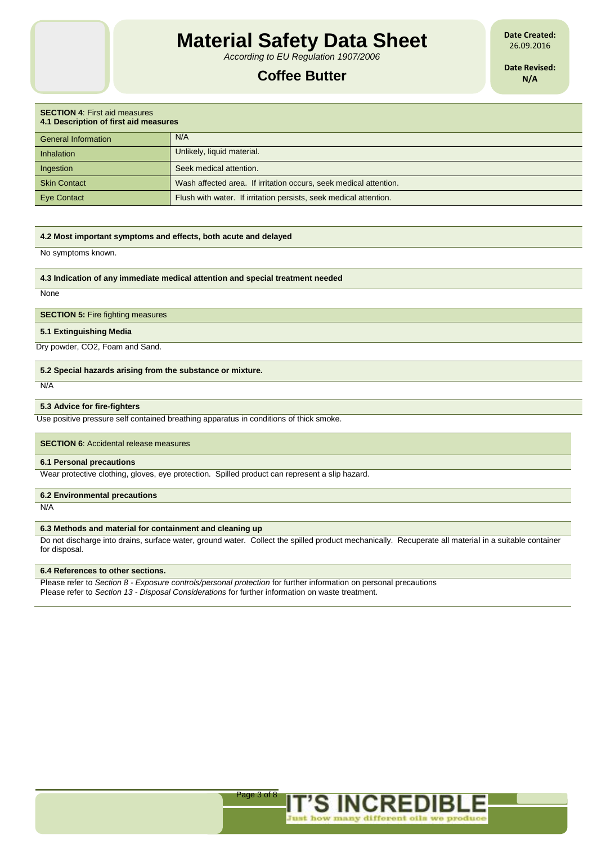*According to EU Regulation 1907/2006*

# **Coffee Butter**

**Date Created:** 26.09.2016

**Date Revised: N/A**

| <b>SECTION 4: First aid measures</b><br>4.1 Description of first aid measures |                                                                   |  |
|-------------------------------------------------------------------------------|-------------------------------------------------------------------|--|
| <b>General Information</b>                                                    | N/A                                                               |  |
| Inhalation                                                                    | Unlikely, liquid material.                                        |  |
| Ingestion                                                                     | Seek medical attention.                                           |  |
| <b>Skin Contact</b>                                                           | Wash affected area. If irritation occurs, seek medical attention. |  |
| <b>Eye Contact</b>                                                            | Flush with water. If irritation persists, seek medical attention. |  |

#### **4.2 Most important symptoms and effects, both acute and delayed**

No symptoms known.

### **4.3 Indication of any immediate medical attention and special treatment needed**

**None** 

#### **SECTION 5: Fire fighting measures**

### **5.1 Extinguishing Media**

Dry powder, CO2, Foam and Sand.

#### **5.2 Special hazards arising from the substance or mixture.**

N/A

### **5.3 Advice for fire-fighters**

Use positive pressure self contained breathing apparatus in conditions of thick smoke.

#### **SECTION 6**: Accidental release measures

## **6.1 Personal precautions**

Wear protective clothing, gloves, eye protection. Spilled product can represent a slip hazard.

### **6.2 Environmental precautions**

N/A

### **6.3 Methods and material for containment and cleaning up**

Do not discharge into drains, surface water, ground water. Collect the spilled product mechanically. Recuperate all material in a suitable container for disposal.

#### **6.4 References to other sections.**

Please refer to *Section 8 - Exposure controls/personal protection* for further information on personal precautions Please refer to *Section 13 - Disposal Considerations* for further information on waste treatment.

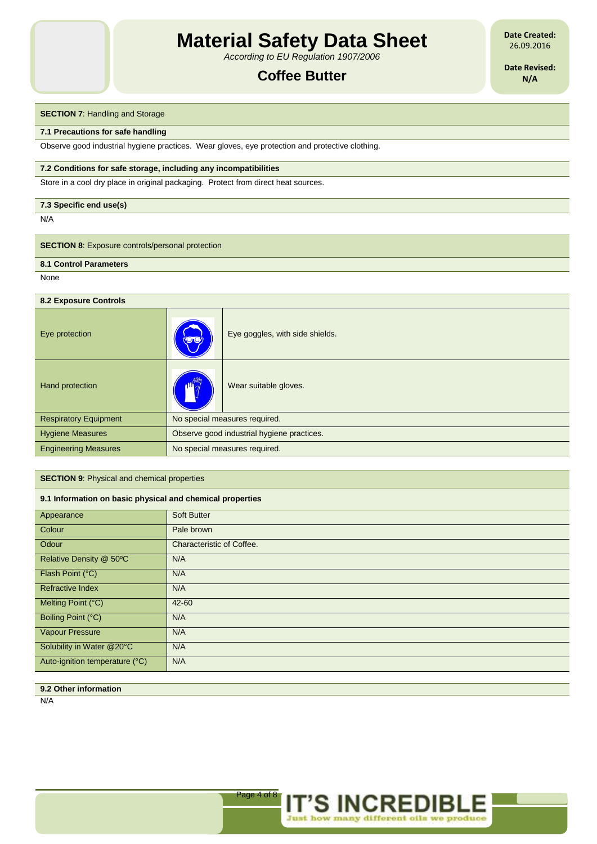*According to EU Regulation 1907/2006*

# **Coffee Butter**

**Date Created:** 26.09.2016

**Date Revised: N/A**

## **SECTION 7: Handling and Storage**

#### **7.1 Precautions for safe handling**

Observe good industrial hygiene practices. Wear gloves, eye protection and protective clothing.

#### **7.2 Conditions for safe storage, including any incompatibilities**

Store in a cool dry place in original packaging. Protect from direct heat sources.

#### **7.3 Specific end use(s)**

N/A

# **SECTION 8:** Exposure controls/personal protection

**8.1 Control Parameters**

None

| 8.2 Exposure Controls        |                                            |                                 |
|------------------------------|--------------------------------------------|---------------------------------|
| Eye protection               | <b>void</b>                                | Eye goggles, with side shields. |
| Hand protection              |                                            | Wear suitable gloves.           |
| <b>Respiratory Equipment</b> | No special measures required.              |                                 |
| <b>Hygiene Measures</b>      | Observe good industrial hygiene practices. |                                 |
| <b>Engineering Measures</b>  | No special measures required.              |                                 |

## **SECTION 9**: Physical and chemical properties

### **9.1 Information on basic physical and chemical properties**

| Appearance                     | <b>Soft Butter</b>        |
|--------------------------------|---------------------------|
| Colour                         | Pale brown                |
| Odour                          | Characteristic of Coffee. |
| Relative Density @ 50°C        | N/A                       |
| Flash Point (°C)               | N/A                       |
| <b>Refractive Index</b>        | N/A                       |
| Melting Point (°C)             | 42-60                     |
| Boiling Point (°C)             | N/A                       |
| Vapour Pressure                | N/A                       |
|                                | N/A                       |
| Auto-ignition temperature (°C) | N/A                       |
| Solubility in Water @20°C      |                           |

## **9.2 Other information**

N/A

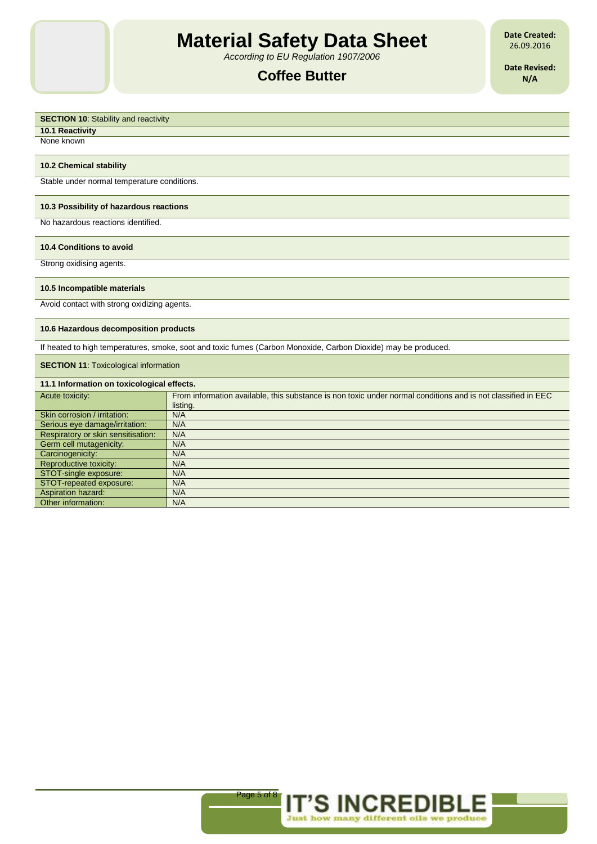*According to EU Regulation 1907/2006*

# **Coffee Butter**

**Date Created:** 26.09.2016

**Date Revised: N/A**

# **SECTION 10:** Stability and reactivity **10.1 Reactivity** None known **10.2 Chemical stability** Stable under normal temperature conditions. **10.3 Possibility of hazardous reactions** No hazardous reactions identified. **10.4 Conditions to avoid** Strong oxidising agents. **10.5 Incompatible materials** Avoid contact with strong oxidizing agents. **10.6 Hazardous decomposition products** If heated to high temperatures, smoke, soot and toxic fumes (Carbon Monoxide, Carbon Dioxide) may be produced. **SECTION 11: Toxicological information 11.1 Information on toxicological effects.** Acute toxicity: From information available, this substance is non toxic under normal conditions and is not classified in EEC listing. Skin corrosion / irritation: N/A Serious eye damage/irritation: N/A<br>Respiratory or skin sensitisation: N/A Respiratory or skin sensitisation: Germ cell mutagenicity: N/A Carcinogenicity: N/A Reproductive toxicity: N/A

Page 5 of 8

**IT'S INCREDI** 

STOT-single exposure: N/A STOT-repeated exposure: N/A<br>Aspiration hazard: N/A

Other information: N/A

Aspiration hazard: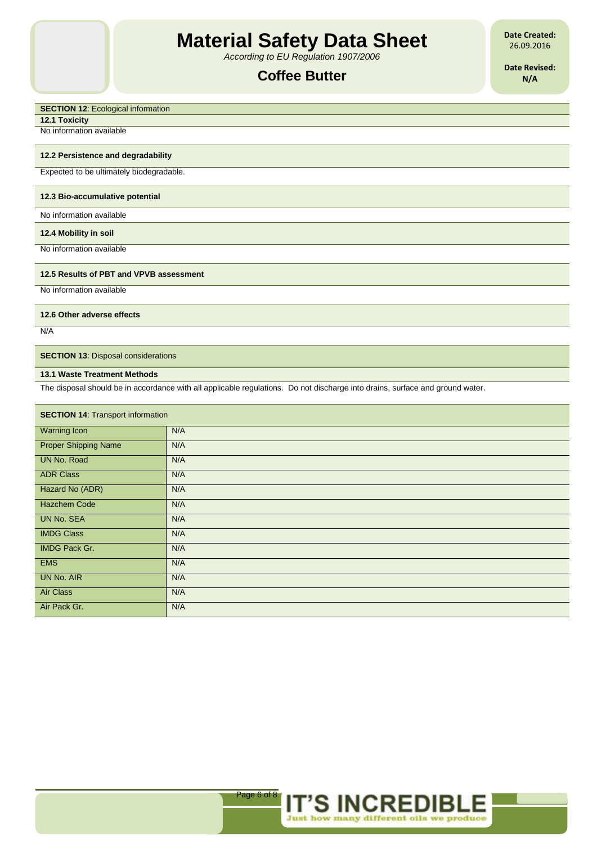*According to EU Regulation 1907/2006*

# **Coffee Butter**

**Date Created:** 26.09.2016

**Date Revised: N/A**

# **SECTION 12: Ecological information**

**12.1 Toxicity**

No information available

## **12.2 Persistence and degradability**

Expected to be ultimately biodegradable.

#### **12.3 Bio-accumulative potential**

No information available

#### **12.4 Mobility in soil**

No information available

## **12.5 Results of PBT and VPVB assessment**

No information available

### **12.6 Other adverse effects**

N/A

## **SECTION 13: Disposal considerations**

#### **13.1 Waste Treatment Methods**

The disposal should be in accordance with all applicable regulations. Do not discharge into drains, surface and ground water.

| <b>SECTION 14: Transport information</b> |     |  |
|------------------------------------------|-----|--|
| <b>Warning Icon</b>                      | N/A |  |
| <b>Proper Shipping Name</b>              | N/A |  |
| <b>UN No. Road</b>                       | N/A |  |
| <b>ADR Class</b>                         | N/A |  |
| Hazard No (ADR)                          | N/A |  |
| <b>Hazchem Code</b>                      | N/A |  |
| <b>UN No. SEA</b>                        | N/A |  |
| <b>IMDG Class</b>                        | N/A |  |
| IMDG Pack Gr.                            | N/A |  |
| <b>EMS</b>                               | N/A |  |
| <b>UN No. AIR</b>                        | N/A |  |
| <b>Air Class</b>                         | N/A |  |
| Air Pack Gr.                             | N/A |  |

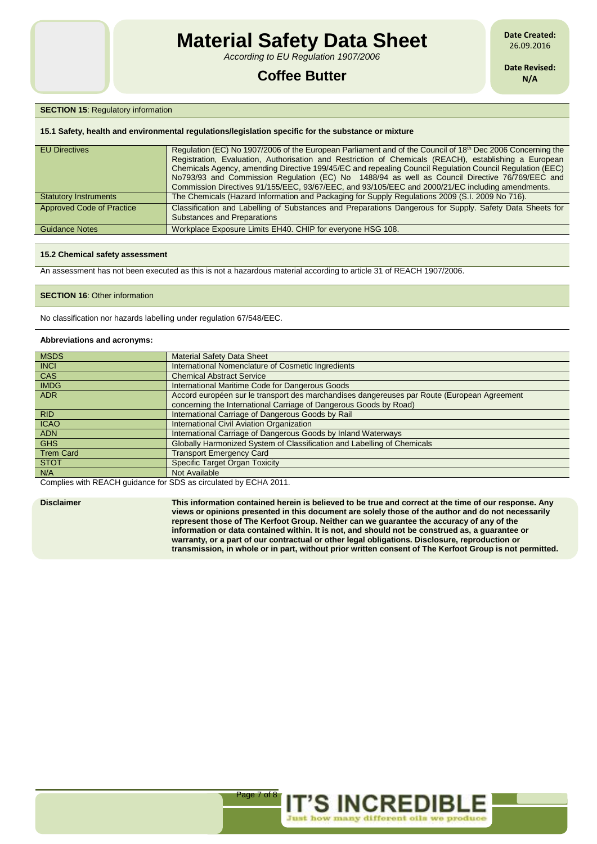*According to EU Regulation 1907/2006*

# **Coffee Butter**

**Date Created:** 26.09.2016

**Date Revised: N/A**

## **SECTION 15: Regulatory information**

#### **15.1 Safety, health and environmental regulations/legislation specific for the substance or mixture**

| <b>EU Directives</b>             | Regulation (EC) No 1907/2006 of the European Parliament and of the Council of 18 <sup>th</sup> Dec 2006 Concerning the<br>Registration, Evaluation, Authorisation and Restriction of Chemicals (REACH), establishing a European<br>Chemicals Agency, amending Directive 199/45/EC and repealing Council Regulation Council Regulation (EEC)<br>No793/93 and Commission Regulation (EC) No 1488/94 as well as Council Directive 76/769/EEC and<br>Commission Directives 91/155/EEC, 93/67/EEC, and 93/105/EEC and 2000/21/EC including amendments. |
|----------------------------------|---------------------------------------------------------------------------------------------------------------------------------------------------------------------------------------------------------------------------------------------------------------------------------------------------------------------------------------------------------------------------------------------------------------------------------------------------------------------------------------------------------------------------------------------------|
| <b>Statutory Instruments</b>     | The Chemicals (Hazard Information and Packaging for Supply Regulations 2009 (S.I. 2009 No 716).                                                                                                                                                                                                                                                                                                                                                                                                                                                   |
| <b>Approved Code of Practice</b> | Classification and Labelling of Substances and Preparations Dangerous for Supply. Safety Data Sheets for<br><b>Substances and Preparations</b>                                                                                                                                                                                                                                                                                                                                                                                                    |
| <b>Guidance Notes</b>            | Workplace Exposure Limits EH40. CHIP for everyone HSG 108.                                                                                                                                                                                                                                                                                                                                                                                                                                                                                        |

#### **15.2 Chemical safety assessment**

An assessment has not been executed as this is not a hazardous material according to article 31 of REACH 1907/2006.

#### **SECTION 16: Other information**

No classification nor hazards labelling under regulation 67/548/EEC.

#### **Abbreviations and acronyms:**

| <b>MSDS</b>      | <b>Material Safety Data Sheet</b>                                                           |
|------------------|---------------------------------------------------------------------------------------------|
| <b>INCI</b>      | International Nomenclature of Cosmetic Ingredients                                          |
| <b>CAS</b>       | <b>Chemical Abstract Service</b>                                                            |
| <b>IMDG</b>      | International Maritime Code for Dangerous Goods                                             |
| <b>ADR</b>       | Accord européen sur le transport des marchandises dangereuses par Route (European Agreement |
|                  | concerning the International Carriage of Dangerous Goods by Road)                           |
| <b>RID</b>       | International Carriage of Dangerous Goods by Rail                                           |
| <b>ICAO</b>      | International Civil Aviation Organization                                                   |
| <b>ADN</b>       | International Carriage of Dangerous Goods by Inland Waterways                               |
| <b>GHS</b>       | Globally Harmonized System of Classification and Labelling of Chemicals                     |
| <b>Trem Card</b> | <b>Transport Emergency Card</b>                                                             |
| <b>STOT</b>      | <b>Specific Target Organ Toxicity</b>                                                       |
| N/A              | Not Available                                                                               |

Complies with REACH guidance for SDS as circulated by ECHA 2011.

**Disclaimer This information contained herein is believed to be true and correct at the time of our response. Any views or opinions presented in this document are solely those of the author and do not necessarily represent those of The Kerfoot Group. Neither can we guarantee the accuracy of any of the information or data contained within. It is not, and should not be construed as, a guarantee or warranty, or a part of our contractual or other legal obligations. Disclosure, reproduction or transmission, in whole or in part, without prior written consent of The Kerfoot Group is not permitted.**